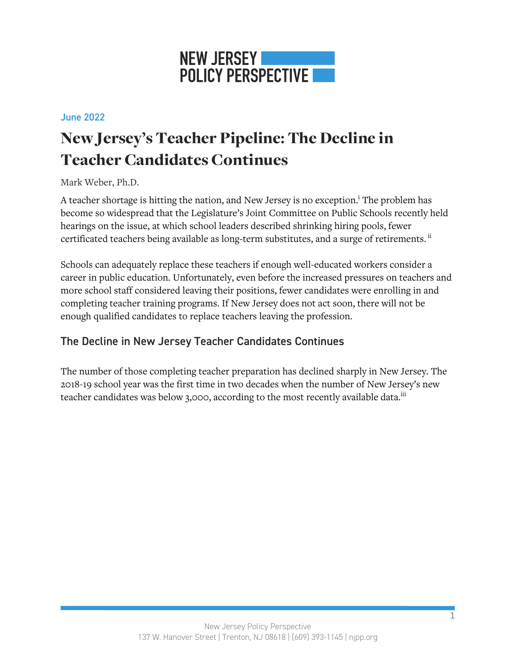

#### June 2022

# New Jersey's Teacher Pipeline: The Decline in Teacher Candidates Continues

### Mark Weber, Ph.D.

A teacher shortage is hitting the nation, and New Jersey is no exception.<sup>1</sup> The problem has become so widespread that the Legislature's Joint Committee on Public Schools recently held hearings on the issue, at which school leaders described shrinking hiring pools, fewer certificated teachers being available as long-term substitutes, and a surge of retirements.<sup>ii</sup>

Schools can adequately replace these teachers if enough well-educated workers consider a career in public education. Unfortunately, even before the increased pressures on teachers and more school staff considered leaving their positions, fewer candidates were enrolling in and completing teacher training programs. If New Jersey does not act soon, there will not be enough qualified candidates to replace teachers leaving the profession.

## The Decline in New Jersey Teacher Candidates Continues

The number of those completing teacher preparation has declined sharply in New Jersey. The 2018-19 school year was the first time in two decades when the number of New Jersey's new teacher candidates was below 3,000, according to the most recently available data.<sup>iii</sup>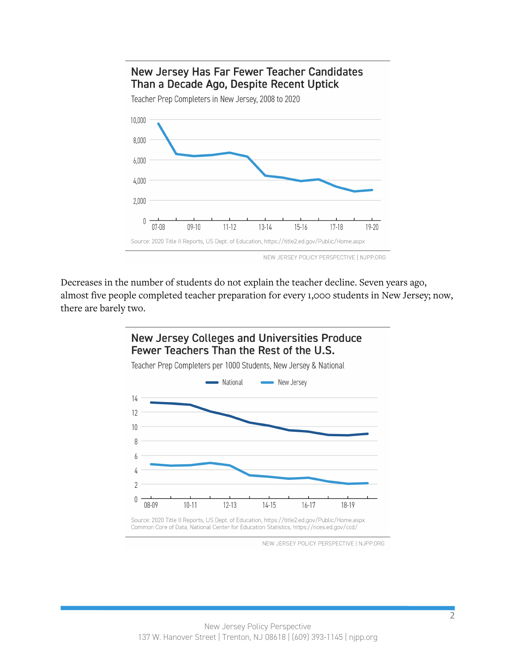# New Jersey Has Far Fewer Teacher Candidates Than a Decade Ago, Despite Recent Uptick



Teacher Prep Completers in New Jersey, 2008 to 2020

Decreases in the number of students do not explain the teacher decline. Seven years ago, almost five people completed teacher preparation for every 1,000 students in New Jersey; now, there are barely two.



Source: 2020 Title II Reports, US Dept. of Education, https://title2.ed.gov/Public/Home.aspx Common Core of Data, National Center for Education Statistics, https://nces.ed.gov/ccd/

NEW JERSEY POLICY PERSPECTIVE | NJPP.ORG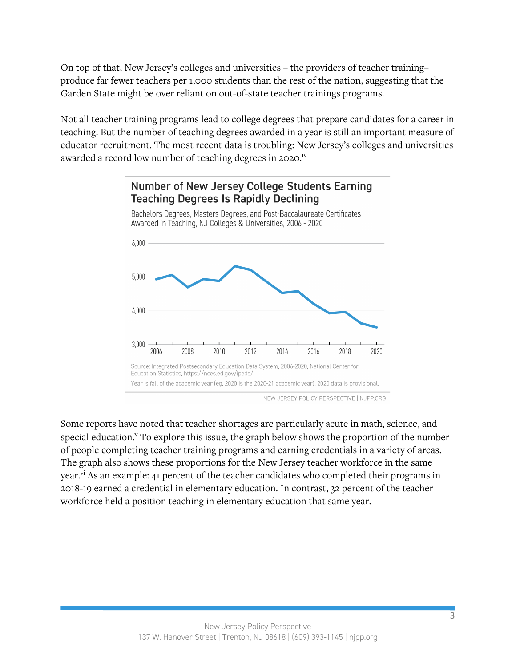On top of that, New Jersey's colleges and universities – the providers of teacher training– produce far fewer teachers per 1,000 students than the rest of the nation, suggesting that the Garden State might be over reliant on out-of-state teacher trainings programs.

Not all teacher training programs lead to college degrees that prepare candidates for a career in teaching. But the number of teaching degrees awarded in a year is still an important measure of educator recruitment. The most recent data is troubling: New Jersey's colleges and universities awarded a record low number of teaching degrees in 2020.<sup>iv</sup>



NEW JERSEY POLICY PERSPECTIVE | NJPP.ORG

Some reports have noted that teacher shortages are particularly acute in math, science, and special education.<sup>v</sup> To explore this issue, the graph below shows the proportion of the number of people completing teacher training programs and earning credentials in a variety of areas. The graph also shows these proportions for the New Jersey teacher workforce in the same year.<sup>vi</sup> As an example: 41 percent of the teacher candidates who completed their programs in 2018-19 earned a credential in elementary education. In contrast, 32 percent of the teacher workforce held a position teaching in elementary education that same year.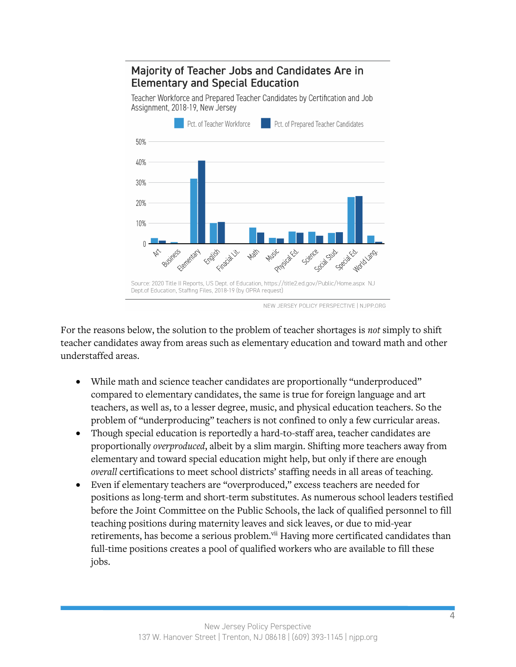# **Majority of Teacher Jobs and Candidates Are in Elementary and Special Education**

Teacher Workforce and Prepared Teacher Candidates by Certification and Job Assignment, 2018-19, New Jersey



NEW JERSEY POLICY PERSPECTIVE | NJPP.ORG

For the reasons below, the solution to the problem of teacher shortages is *not* simply to shift teacher candidates away from areas such as elementary education and toward math and other understaffed areas.

- While math and science teacher candidates are proportionally "underproduced" compared to elementary candidates, the same is true for foreign language and art teachers, as well as, to a lesser degree, music, and physical education teachers. So the problem of "underproducing" teachers is not confined to only a few curricular areas.
- Though special education is reportedly a hard-to-staff area, teacher candidates are proportionally *overproduced*, albeit by a slim margin. Shifting more teachers away from elementary and toward special education might help, but only if there are enough *overall* certifications to meet school districts' staffing needs in all areas of teaching.
- Even if elementary teachers are "overproduced," excess teachers are needed for positions as long-term and short-term substitutes. As numerous school leaders testified before the Joint Committee on the Public Schools, the lack of qualified personnel to fill teaching positions during maternity leaves and sick leaves, or due to mid-year retirements, has become a serious problem.<sup>vii</sup> Having more certificated candidates than full-time positions creates a pool of qualified workers who are available to fill these jobs.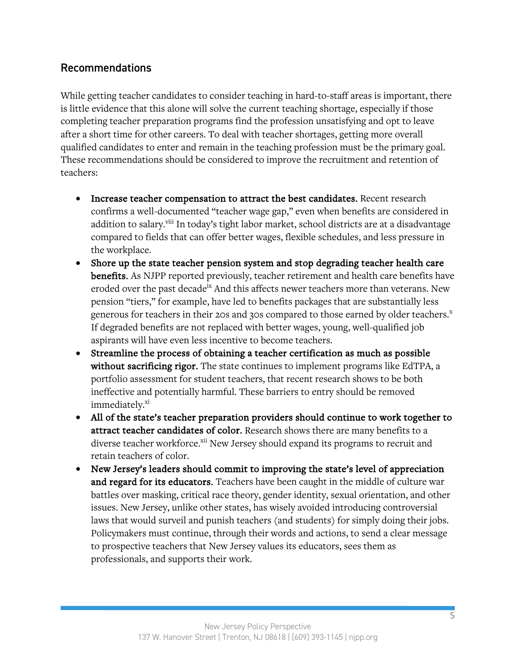# Recommendations

While getting teacher candidates to consider teaching in hard-to-staff areas is important, there is little evidence that this alone will solve the current teaching shortage, especially if those completing teacher preparation programs find the profession unsatisfying and opt to leave after a short time for other careers. To deal with teacher shortages, getting more overall qualified candidates to enter and remain in the teaching profession must be the primary goal. These recommendations should be considered to improve the recruitment and retention of teachers:

- Increase teacher compensation to attract the best candidates. Recent research confirms a well-documented "teacher wage gap," even when benefits are considered in addition to salary.<sup>viii</sup> In today's tight labor market, school districts are at a disadvantage compared to fields that can offer better wages, flexible schedules, and less pressure in the workplace.
- Shore up the state teacher pension system and stop degrading teacher health care benefits. As NJPP reported previously, teacher retirement and health care benefits have eroded over the past decade<sup>ix</sup> And this affects newer teachers more than veterans. New pension "tiers," for example, have led to benefits packages that are substantially less generous for teachers in their 20s and 30s compared to those earned by older teachers.<sup>x</sup> If degraded benefits are not replaced with better wages, young, well-qualified job aspirants will have even less incentive to become teachers.
- Streamline the process of obtaining a teacher certification as much as possible without sacrificing rigor. The state continues to implement programs like EdTPA, a portfolio assessment for student teachers, that recent research shows to be both ineffective and potentially harmful. These barriers to entry should be removed immediately.<sup>xi</sup>
- All of the state's teacher preparation providers should continue to work together to attract teacher candidates of color. Research shows there are many benefits to a diverse teacher workforce.<sup>xii</sup> New Jersey should expand its programs to recruit and retain teachers of color.
- New Jersey's leaders should commit to improving the state's level of appreciation and regard for its educators. Teachers have been caught in the middle of culture war battles over masking, critical race theory, gender identity, sexual orientation, and other issues. New Jersey, unlike other states, has wisely avoided introducing controversial laws that would surveil and punish teachers (and students) for simply doing their jobs. Policymakers must continue, through their words and actions, to send a clear message to prospective teachers that New Jersey values its educators, sees them as professionals, and supports their work.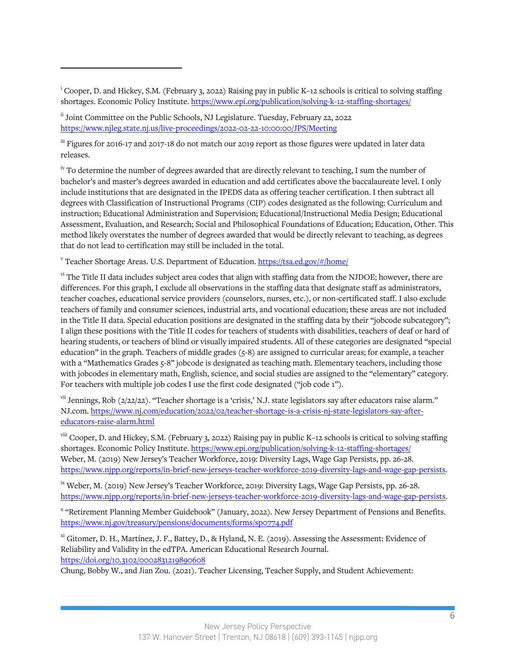<sup>i</sup> Cooper, D. and Hickey, S.M. (February 3, 2022) Raising pay in public K–12 schools is critical to solving staffing shortages. Economic Policy Institute. https://www.epi.org/publication/solving-k-12-staffing-shortages/

ii Joint Committee on the Public Schools, NJ Legislature. Tuesday, February 22, 2022 https://www.njleg.state.nj.us/live-proceedings/2022-02-22-10:00:00/JPS/Meeting

iii Figures for 2016-17 and 2017-18 do not match our 2019 report as those figures were updated in later data releases.

<sup>iv</sup> To determine the number of degrees awarded that are directly relevant to teaching, I sum the number of bachelor's and master's degrees awarded in education and add certificates above the baccalaureate level. I only include institutions that are designated in the IPEDS data as offering teacher certification. I then subtract all degrees with Classification of Instructional Programs (CIP) codes designated as the following: Curriculum and instruction; Educational Administration and Supervision; Educational/Instructional Media Design; Educational Assessment, Evaluation, and Research; Social and Philosophical Foundations of Education; Education, Other. This method likely overstates the number of degrees awarded that would be directly relevant to teaching, as degrees that do not lead to certification may still be included in the total.

<sup>v</sup> Teacher Shortage Areas. U.S. Department of Education. https://tsa.ed.gov/#/home/

vi The Title II data includes subject area codes that align with staffing data from the NJDOE; however, there are differences. For this graph, I exclude all observations in the staffing data that designate staff as administrators, teacher coaches, educational service providers (counselors, nurses, etc.), or non-certificated staff. I also exclude teachers of family and consumer sciences, industrial arts, and vocational education; these areas are not included in the Title II data. Special education positions are designated in the staffing data by their "jobcode subcategory"; I align these positions with the Title II codes for teachers of students with disabilities, teachers of deaf or hard of hearing students, or teachers of blind or visually impaired students. All of these categories are designated "special education" in the graph. Teachers of middle grades (5-8) are assigned to curricular areas; for example, a teacher with a "Mathematics Grades 5-8" jobcode is designated as teaching math. Elementary teachers, including those with jobcodes in elementary math, English, science, and social studies are assigned to the "elementary" category. For teachers with multiple job codes I use the first code designated ("job code 1").

vii Jennings, Rob (2/22/22). "Teacher shortage is a 'crisis,' N.J. state legislators say after educators raise alarm." NJ.com. https://www.nj.com/education/2022/02/teacher-shortage-is-a-crisis-nj-state-legislators-say-aftereducators-raise-alarm.html

viii Cooper, D. and Hickey, S.M. (February 3, 2022) Raising pay in public K-12 schools is critical to solving staffing shortages. Economic Policy Institute. https://www.epi.org/publication/solving-k-12-staffing-shortages/ Weber, M. (2019) New Jersey's Teacher Workforce, 2019: Diversity Lags, Wage Gap Persists, pp. 26-28. https://www.njpp.org/reports/in-brief-new-jerseys-teacher-workforce-2019-diversity-lags-and-wage-gap-persists.

<sup>ix</sup> Weber, M. (2019) New Jersey's Teacher Workforce, 2019: Diversity Lags, Wage Gap Persists, pp. 26-28. https://www.njpp.org/reports/in-brief-new-jerseys-teacher-workforce-2019-diversity-lags-and-wage-gap-persists.

<sup>x</sup> "Retirement Planning Member Guidebook" (January, 2022). New Jersey Department of Pensions and Benefits. https://www.nj.gov/treasury/pensions/documents/forms/sp0774.pdf

xi Gitomer, D. H., Martínez, J. F., Battey, D., & Hyland, N. E. (2019). Assessing the Assessment: Evidence of Reliability and Validity in the edTPA. American Educational Research Journal. https://doi.org/10.3102/0002831219890608

Chung, Bobby W., and Jian Zou. (2021). Teacher Licensing, Teacher Supply, and Student Achievement: